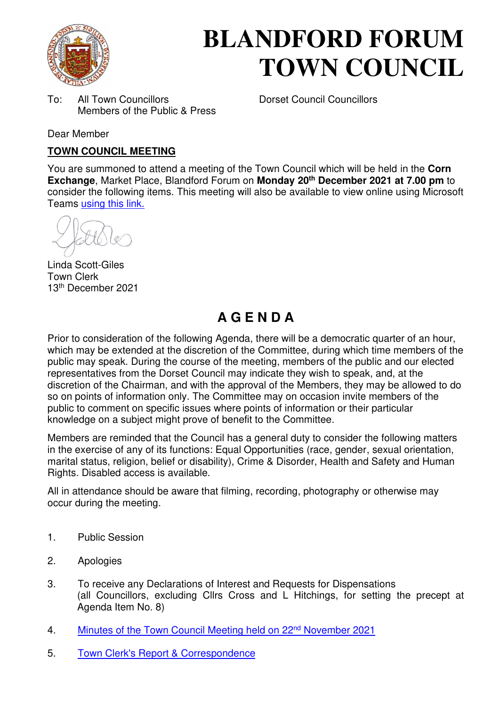

# **BLANDFORD FORUM TOWN COUNCIL**

To: All Town Councillors Dorset Council Councillors Members of the Public & Press

Dear Member

#### **TOWN COUNCIL MEETING**

You are summoned to attend a meeting of the Town Council which will be held in the **Corn Exchange**, Market Place, Blandford Forum on **Monday 20th December 2021 at 7.00 pm** to consider the following items. This meeting will also be available to view online using Microsoft Teams [using this link.](https://teams.microsoft.com/l/meetup-join/19%3a2cb1b1f9de074efdad40308940ab9ba0%40thread.tacv2/1627298004480?context=%7b%22Tid%22%3a%223cd8f2fb-4c45-4162-86f1-fb87b5f6a138%22%2c%22Oid%22%3a%2265e5950c-ab1c-41cc-9090-4a755c733f54%22%7d) 

Linda Scott-Giles Town Clerk 13th December 2021

## **A G E N D A**

Prior to consideration of the following Agenda, there will be a democratic quarter of an hour, which may be extended at the discretion of the Committee, during which time members of the public may speak. During the course of the meeting, members of the public and our elected representatives from the Dorset Council may indicate they wish to speak, and, at the discretion of the Chairman, and with the approval of the Members, they may be allowed to do so on points of information only. The Committee may on occasion invite members of the public to comment on specific issues where points of information or their particular knowledge on a subject might prove of benefit to the Committee.

Members are reminded that the Council has a general duty to consider the following matters in the exercise of any of its functions: Equal Opportunities (race, gender, sexual orientation, marital status, religion, belief or disability), Crime & Disorder, Health and Safety and Human Rights. Disabled access is available.

All in attendance should be aware that filming, recording, photography or otherwise may occur during the meeting.

- 1. Public Session
- 2. Apologies
- 3. To receive any Declarations of Interest and Requests for Dispensations (all Councillors, excluding Cllrs Cross and L Hitchings, for setting the precept at Agenda Item No. 8)
- 4. [Minutes of the Town Council Meeting held on 22](https://blandfordforum-tc.gov.uk/wp-content/uploads/2021/11/221121.pdf)<sup>nd</sup> November 2021
- 5. [Town Clerk's Report & Correspondence](#page-2-0)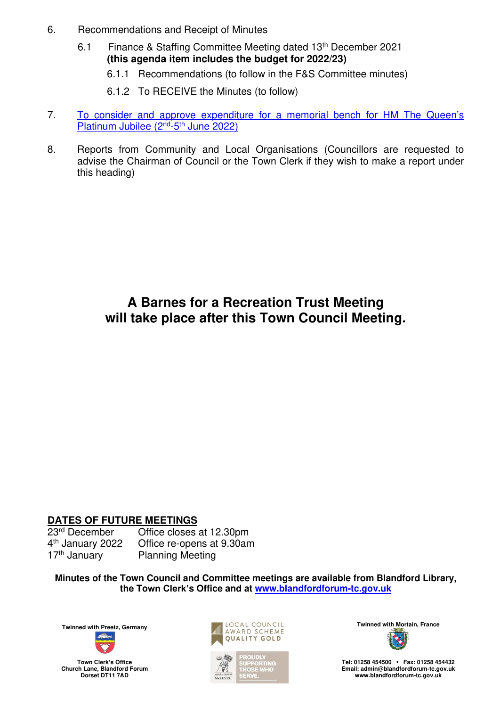- 6. Recommendations and Receipt of Minutes
	- 6.1 Finance & Staffing Committee Meeting dated 13th December 2021 **(this agenda item includes the budget for 2022/23)** 
		- 6.1.1 Recommendations (to follow in the F&S Committee minutes)
		- 6.1.2 To RECEIVE the Minutes (to follow)
- 7. [To consider and approve expenditure for a memorial bench for HM The Queen](#page-3-0)'s [Platinum Jubilee \(2](#page-3-0)<sup>nd</sup>-5<sup>th</sup> June 2022)
- 8. Reports from Community and Local Organisations (Councillors are requested to advise the Chairman of Council or the Town Clerk if they wish to make a report under this heading)

### **A Barnes for a Recreation Trust Meeting will take place after this Town Council Meeting.**

# **DATES OF FUTURE MEETINGS**

4<sup>th</sup> January 2022 17<sup>th</sup> January Planning Meeting

Office closes at 12.30pm Office re-opens at 9.30am

**Minutes of the Town Council and Committee meetings are available from Blandford Library, the Town Clerk's Office and at [www.blandfordforum-tc.gov.uk](http://www.blandfordforum-tc.gov.uk/)**



**Town Clerk's Office Church Lane, Blandford Forum Dorset DT11 7AD**





**Tel: 01258 454500 • Fax: 01258 454432 Email: admin@blandfordforum-tc.gov.uk [www.blandfordforum-tc.gov.uk](http://www.blandfordforum-tc.gov.uk/)**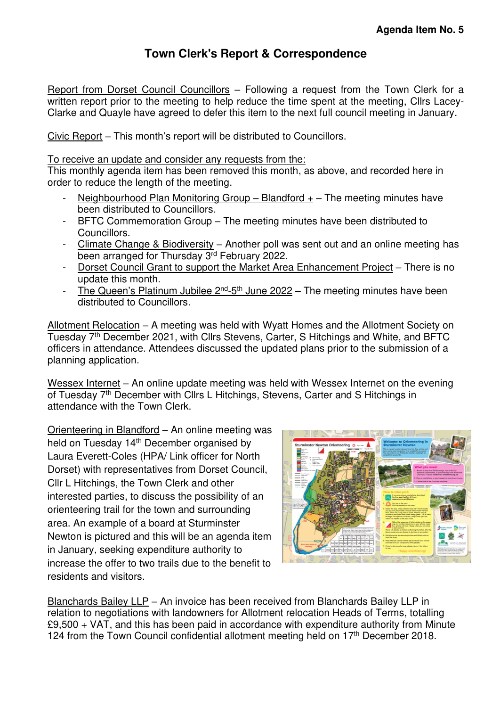#### **Town Clerk's Report & Correspondence**

<span id="page-2-0"></span>Report from Dorset Council Councillors – Following a request from the Town Clerk for a written report prior to the meeting to help reduce the time spent at the meeting. Cllrs Lacey-Clarke and Quayle have agreed to defer this item to the next full council meeting in January.

Civic Report – This month's report will be distributed to Councillors.

To receive an update and consider any requests from the:

This monthly agenda item has been removed this month, as above, and recorded here in order to reduce the length of the meeting.

- Neighbourhood Plan Monitoring Group Blandford  $+$  The meeting minutes have been distributed to Councillors.
- BFTC Commemoration Group The meeting minutes have been distributed to Councillors.
- Climate Change & Biodiversity Another poll was sent out and an online meeting has been arranged for Thursday 3rd February 2022.
- Dorset Council Grant to support the Market Area Enhancement Project There is no update this month.
- The Queen's Platinum Jubilee  $2^{nd}$ -5<sup>th</sup> June 2022 The meeting minutes have been distributed to Councillors.

Allotment Relocation – A meeting was held with Wyatt Homes and the Allotment Society on Tuesday 7<sup>th</sup> December 2021, with Cllrs Stevens, Carter, S Hitchings and White, and BFTC officers in attendance. Attendees discussed the updated plans prior to the submission of a planning application.

Wessex Internet – An online update meeting was held with Wessex Internet on the evening of Tuesday 7<sup>th</sup> December with Cllrs L Hitchings, Stevens, Carter and S Hitchings in attendance with the Town Clerk.

Orienteering in Blandford – An online meeting was held on Tuesday 14<sup>th</sup> December organised by Laura Everett-Coles (HPA/ Link officer for North Dorset) with representatives from Dorset Council, Cllr L Hitchings, the Town Clerk and other interested parties, to discuss the possibility of an orienteering trail for the town and surrounding area. An example of a board at Sturminster Newton is pictured and this will be an agenda item in January, seeking expenditure authority to increase the offer to two trails due to the benefit to residents and visitors.



Blanchards Bailey LLP – An invoice has been received from Blanchards Bailey LLP in relation to negotiations with landowners for Allotment relocation Heads of Terms, totalling  $£9,500 + \text{VAT}$ , and this has been paid in accordance with expenditure authority from Minute 124 from the Town Council confidential allotment meeting held on  $17<sup>th</sup>$  December 2018.